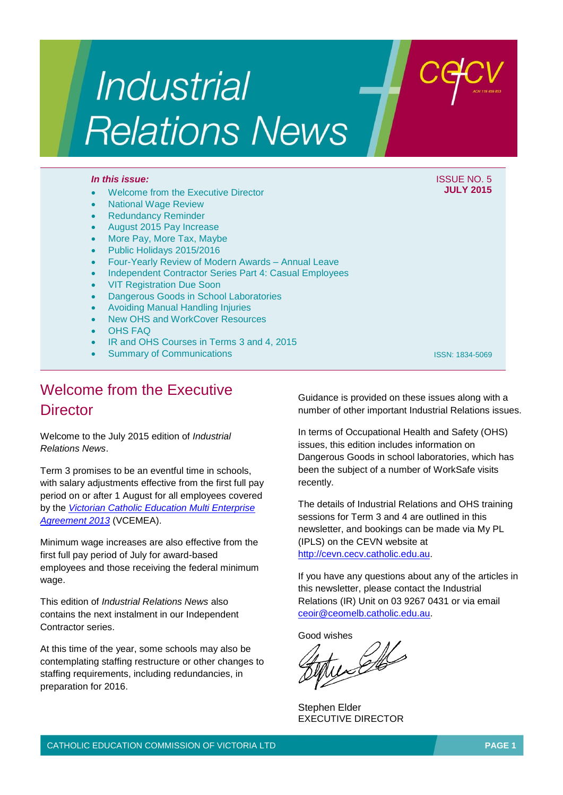# **Industrial Relations News**

### *In this issue:* ISSUE NO. 5

- Welcome from the Executive Director
- National Wage Review
- Redundancy Reminder
- August 2015 Pay Increase
- More Pay, More Tax, Maybe
- Public Holidays 2015/2016
- Four-Yearly Review of Modern Awards Annual Leave
- Independent Contractor Series Part 4: Casual Employees
- VIT Registration Due Soon
- Dangerous Goods in School Laboratories
- Avoiding Manual Handling Injuries
- New OHS and WorkCover Resources
- OHS FAQ
- IR and OHS Courses in Terms 3 and 4, 2015
- Summary of Communications

ISSN: 1834-5069

**JULY 2015**

# Welcome from the Executive **Director**

Welcome to the July 2015 edition of *Industrial Relations News*.

Term 3 promises to be an eventful time in schools, with salary adjustments effective from the first full pay period on or after 1 August for all employees covered by the *[Victorian Catholic Education Multi Enterprise](http://www.cecv.catholic.edu.au/vcsa/Agreement_2013/VCEMEA_2013.pdf)  [Agreement 2013](http://www.cecv.catholic.edu.au/vcsa/Agreement_2013/VCEMEA_2013.pdf)* (VCEMEA).

Minimum wage increases are also effective from the first full pay period of July for award-based employees and those receiving the federal minimum wage.

This edition of *Industrial Relations News* also contains the next instalment in our Independent Contractor series.

At this time of the year, some schools may also be contemplating staffing restructure or other changes to staffing requirements, including redundancies, in preparation for 2016.

Guidance is provided on these issues along with a number of other important Industrial Relations issues.

In terms of Occupational Health and Safety (OHS) issues, this edition includes information on Dangerous Goods in school laboratories, which has been the subject of a number of WorkSafe visits recently.

The details of Industrial Relations and OHS training sessions for Term 3 and 4 are outlined in this newsletter, and bookings can be made via My PL (IPLS) on the CEVN website at [http://cevn.cecv.catholic.edu.au.](http://cevn.cecv.catholic.edu.au/)

If you have any questions about any of the articles in this newsletter, please contact the Industrial Relations (IR) Unit on 03 9267 0431 or via email [ceoir@ceomelb.catholic.edu.au.](mailto:ceoir@ceomelb.catholic.edu.au)

Good wishes

Stephen Elder EXECUTIVE DIRECTOR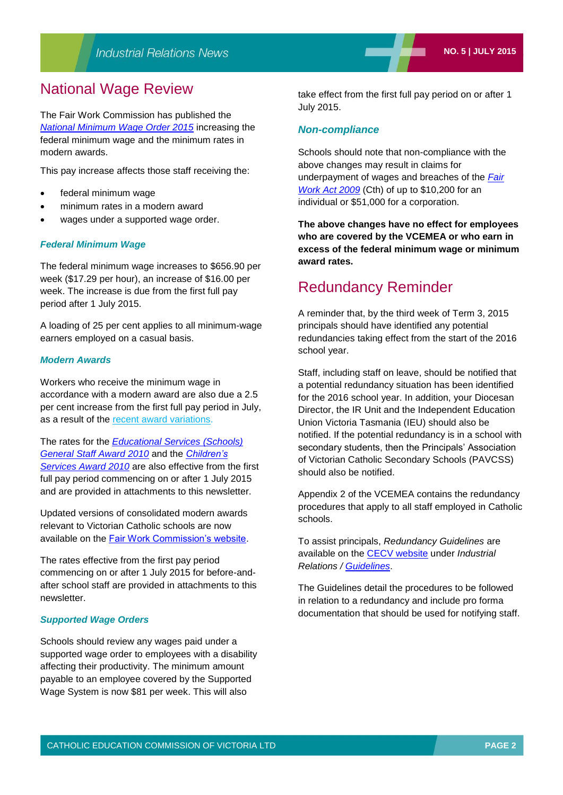### National Wage Review

The Fair Work Commission has published the *[National Minimum Wage Order 2015](https://www.fwc.gov.au/documents/sites/wagereview2014/decisions/c20141_order.pdf)* increasing the federal minimum wage and the minimum rates in modern awards.

This pay increase affects those staff receiving the:

- federal minimum wage
- minimum rates in a modern award
- wages under a supported wage order.

### *Federal Minimum Wage*

The federal minimum wage increases to \$656.90 per week (\$17.29 per hour), an increase of \$16.00 per week. The increase is due from the first full pay period after 1 July 2015.

A loading of 25 per cent applies to all minimum-wage earners employed on a casual basis.

### *Modern Awards*

Workers who receive the minimum wage in accordance with a modern award are also due a 2.5 per cent increase from the first full pay period in July, as a result of the [recent award variations.](https://www.fwc.gov.au/awards-and-agreements/awards/recent-award-variations)

The rates for the *[Educational Services \(Schools\)](https://www.fwc.gov.au/documents/documents/modern_awards/award/MA000076/default.htm)  [General Staff Award 2010](https://www.fwc.gov.au/documents/documents/modern_awards/award/MA000076/default.htm)* and the *[Children's](https://www.fwc.gov.au/documents/documents/modern_awards/award/MA000120/default.htm)  [Services Award](https://www.fwc.gov.au/documents/documents/modern_awards/award/MA000120/default.htm) 2010* are also effective from the first full pay period commencing on or after 1 July 2015 and are provided in attachments to this newsletter.

Updated versions of consolidated modern awards relevant to Victorian Catholic schools are now available on the [Fair Work Commission's website.](https://www.fwc.gov.au/awards-and-agreements/awards/find-award)

The rates effective from the first pay period commencing on or after 1 July 2015 for before-andafter school staff are provided in attachments to this newsletter.

#### *Supported Wage Orders*

Schools should review any wages paid under a supported wage order to employees with a disability affecting their productivity. The minimum amount payable to an employee covered by the Supported Wage System is now \$81 per week. This will also

take effect from the first full pay period on or after 1 July 2015.

### *Non-compliance*

Schools should note that non-compliance with the above changes may result in claims for underpayment of wages and breaches of the *[Fair](https://www.fwc.gov.au/about-us/legislation-regulations/fair-work-act-2009)  [Work Act 2009](https://www.fwc.gov.au/about-us/legislation-regulations/fair-work-act-2009)* (Cth) of up to \$10,200 for an individual or \$51,000 for a corporation.

**The above changes have no effect for employees who are covered by the VCEMEA or who earn in excess of the federal minimum wage or minimum award rates.**

### Redundancy Reminder

A reminder that, by the third week of Term 3, 2015 principals should have identified any potential redundancies taking effect from the start of the 2016 school year.

Staff, including staff on leave, should be notified that a potential redundancy situation has been identified for the 2016 school year. In addition, your Diocesan Director, the IR Unit and the Independent Education Union Victoria Tasmania (IEU) should also be notified. If the potential redundancy is in a school with secondary students, then the Principals' Association of Victorian Catholic Secondary Schools (PAVCSS) should also be notified.

Appendix 2 of the VCEMEA contains the redundancy procedures that apply to all staff employed in Catholic schools.

To assist principals, *Redundancy Guidelines* are available on the [CECV website](http://www.cecv.catholic.edu.au/default.htm) under *Industrial Relations / [Guidelines](http://web.cecv.catholic.edu.au/vcsa/guidelines/guideindex.htm)*.

The Guidelines detail the procedures to be followed in relation to a redundancy and include pro forma documentation that should be used for notifying staff.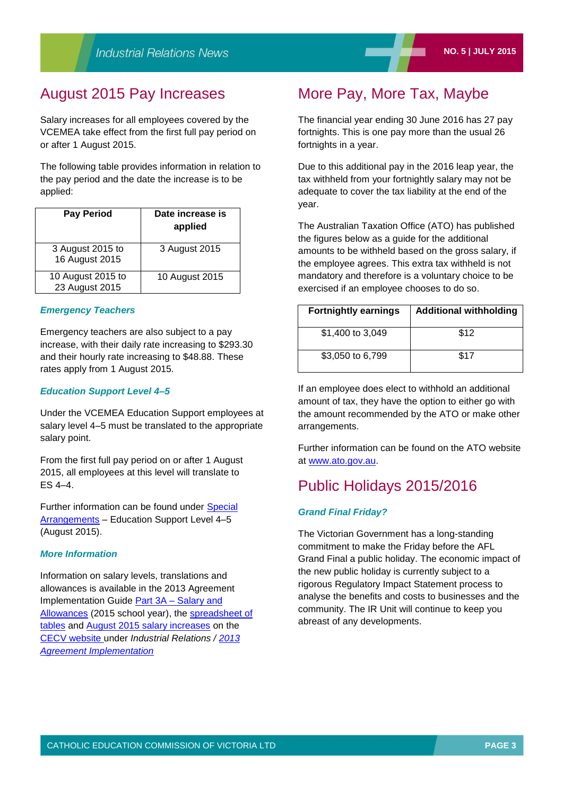### August 2015 Pay Increases

Salary increases for all employees covered by the VCEMEA take effect from the first full pay period on or after 1 August 2015.

The following table provides information in relation to the pay period and the date the increase is to be applied:

| <b>Pay Period</b>                   | Date increase is<br>applied |
|-------------------------------------|-----------------------------|
| 3 August 2015 to<br>16 August 2015  | 3 August 2015               |
| 10 August 2015 to<br>23 August 2015 | 10 August 2015              |

### *Emergency Teachers*

Emergency teachers are also subject to a pay increase, with their daily rate increasing to \$293.30 and their hourly rate increasing to \$48.88. These rates apply from 1 August 2015*.*

### *Education Support Level 4–5*

Under the VCEMEA Education Support employees at salary level 4–5 must be translated to the appropriate salary point.

From the first full pay period on or after 1 August 2015, all employees at this level will translate to ES 4–4.

Further information can be found under [Special](http://www.cecv.catholic.edu.au/vcsa/Implementation_Guidelines/Salary_Implementation/Level_4-5_August_2015_translation.pdf)  [Arrangements](http://www.cecv.catholic.edu.au/vcsa/Implementation_Guidelines/Salary_Implementation/Level_4-5_August_2015_translation.pdf) – Education Support Level 4–5 (August 2015).

### *More Information*

Information on salary levels, translations and allowances is available in the 2013 Agreement Implementation Guide [Part 3A – Salary and](http://www.cecv.catholic.edu.au/vcsa/Implementation_Guidelines/Salary_Implementation/Part%203A.pdf)  [Allowances](http://www.cecv.catholic.edu.au/vcsa/Implementation_Guidelines/Salary_Implementation/Part%203A.pdf) (2015 school year), the [spreadsheet of](http://www.cecv.catholic.edu.au/vcsa/Implementation_Guidelines/Salary_Implementation/2015_Implementation_tables.xls)  [tables](http://www.cecv.catholic.edu.au/vcsa/Implementation_Guidelines/Salary_Implementation/2015_Implementation_tables.xls) and [August 2015 salary increases](http://www.cecv.catholic.edu.au/vcsa/Implementation_Guidelines/Salary_Implementation/August_2015_Salary_Rates.pdf) on the CECV website under *Industrial Relations / [2013](http://www.cecv.catholic.edu.au/vcsa/Implementation_Guidelines/implementation_guides.htm)  [Agreement Implementation](http://www.cecv.catholic.edu.au/vcsa/Implementation_Guidelines/implementation_guides.htm)*

### More Pay, More Tax, Maybe

The financial year ending 30 June 2016 has 27 pay fortnights. This is one pay more than the usual 26 fortnights in a year.

Due to this additional pay in the 2016 leap year, the tax withheld from your fortnightly salary may not be adequate to cover the tax liability at the end of the year.

The Australian Taxation Office (ATO) has published the figures below as a guide for the additional amounts to be withheld based on the gross salary, if the employee agrees. This extra tax withheld is not mandatory and therefore is a voluntary choice to be exercised if an employee chooses to do so.

| <b>Fortnightly earnings</b> | <b>Additional withholding</b> |
|-----------------------------|-------------------------------|
| \$1,400 to 3,049            | \$12                          |
| \$3,050 to 6,799            | \$17                          |

If an employee does elect to withhold an additional amount of tax, they have the option to either go with the amount recommended by the ATO or make other arrangements.

Further information can be found on the ATO website at [www.ato.gov.au.](http://www.ato.gov.au/)

### Public Holidays 2015/2016

### *Grand Final Friday?*

The Victorian Government has a long-standing commitment to make the Friday before the AFL Grand Final a public holiday. The economic impact of the new public holiday is currently subject to a rigorous Regulatory Impact Statement process to analyse the benefits and costs to businesses and the community. The IR Unit will continue to keep you abreast of any developments.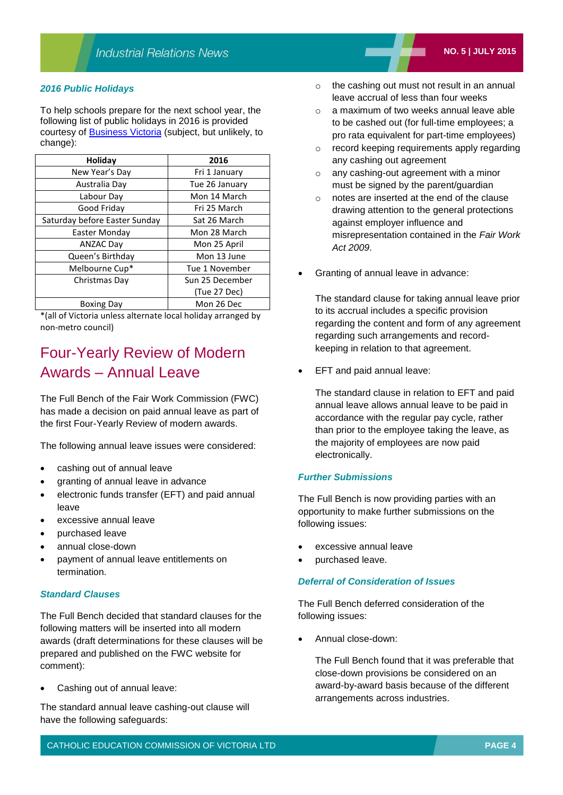### *2016 Public Holidays*

To help schools prepare for the next school year, the following list of public holidays in 2016 is provided courtesy of [Business Victoria](http://www.business.vic.gov.au/victorian-public-holidays-and-daylight-saving/victorian-public-holidays) (subject, but unlikely, to change):

| Holiday                       | 2016            |
|-------------------------------|-----------------|
| New Year's Day                | Fri 1 January   |
| Australia Day                 | Tue 26 January  |
| Labour Day                    | Mon 14 March    |
| Good Friday                   | Fri 25 March    |
| Saturday before Easter Sunday | Sat 26 March    |
| Easter Monday                 | Mon 28 March    |
| <b>ANZAC Day</b>              | Mon 25 April    |
| Queen's Birthday              | Mon 13 June     |
| Melbourne Cup*                | Tue 1 November  |
| Christmas Day                 | Sun 25 December |
|                               | (Tue 27 Dec)    |
| <b>Boxing Day</b>             | Mon 26 Dec      |

\*(all of Victoria unless alternate local holiday arranged by non-metro council)

# Four-Yearly Review of Modern Awards – Annual Leave

The Full Bench of the Fair Work Commission (FWC) has made a decision on paid annual leave as part of the first Four-Yearly Review of modern awards.

The following annual leave issues were considered:

- cashing out of annual leave
- granting of annual leave in advance
- electronic funds transfer (EFT) and paid annual leave
- excessive annual leave
- purchased leave
- annual close-down
- payment of annual leave entitlements on termination.

### *Standard Clauses*

The Full Bench decided that standard clauses for the following matters will be inserted into all modern awards (draft determinations for these clauses will be prepared and published on the FWC website for comment):

Cashing out of annual leave:

The standard annual leave cashing-out clause will have the following safeguards:

- o the cashing out must not result in an annual leave accrual of less than four weeks
- $\circ$  a maximum of two weeks annual leave able to be cashed out (for full-time employees; a pro rata equivalent for part-time employees)
- o record keeping requirements apply regarding any cashing out agreement
- o any cashing-out agreement with a minor must be signed by the parent/guardian
- o notes are inserted at the end of the clause drawing attention to the general protections against employer influence and misrepresentation contained in the *Fair Work Act 2009*.
- Granting of annual leave in advance:

The standard clause for taking annual leave prior to its accrual includes a specific provision regarding the content and form of any agreement regarding such arrangements and recordkeeping in relation to that agreement.

EFT and paid annual leave:

The standard clause in relation to EFT and paid annual leave allows annual leave to be paid in accordance with the regular pay cycle, rather than prior to the employee taking the leave, as the majority of employees are now paid electronically.

### *Further Submissions*

The Full Bench is now providing parties with an opportunity to make further submissions on the following issues:

- excessive annual leave
- purchased leave.

### *Deferral of Consideration of Issues*

The Full Bench deferred consideration of the following issues:

Annual close-down:

The Full Bench found that it was preferable that close-down provisions be considered on an award-by-award basis because of the different arrangements across industries.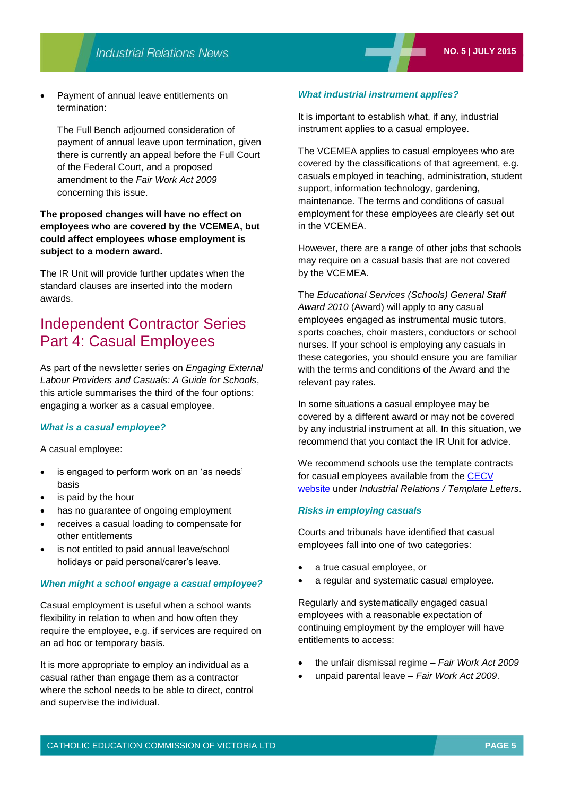Payment of annual leave entitlements on termination:

The Full Bench adjourned consideration of payment of annual leave upon termination, given there is currently an appeal before the Full Court of the Federal Court, and a proposed amendment to the *Fair Work Act 2009* concerning this issue.

### **The proposed changes will have no effect on employees who are covered by the VCEMEA, but could affect employees whose employment is subject to a modern award.**

The IR Unit will provide further updates when the standard clauses are inserted into the modern awards.

### Independent Contractor Series Part 4: Casual Employees

As part of the newsletter series on *Engaging External Labour Providers and Casuals: A Guide for Schools*, this article summarises the third of the four options: engaging a worker as a casual employee.

### *What is a casual employee?*

A casual employee:

- is engaged to perform work on an 'as needs' basis
- is paid by the hour
- has no guarantee of ongoing employment
- receives a casual loading to compensate for other entitlements
- is not entitled to paid annual leave/school holidays or paid personal/carer's leave.

### *When might a school engage a casual employee?*

Casual employment is useful when a school wants flexibility in relation to when and how often they require the employee, e.g. if services are required on an ad hoc or temporary basis.

It is more appropriate to employ an individual as a casual rather than engage them as a contractor where the school needs to be able to direct, control and supervise the individual.

#### *What industrial instrument applies?*

It is important to establish what, if any, industrial instrument applies to a casual employee.

The VCEMEA applies to casual employees who are covered by the classifications of that agreement, e.g. casuals employed in teaching, administration, student support, information technology, gardening, maintenance. The terms and conditions of casual employment for these employees are clearly set out in the VCEMEA.

However, there are a range of other jobs that schools may require on a casual basis that are not covered by the VCEMEA.

The *Educational Services (Schools) General Staff Award 2010* (Award) will apply to any casual employees engaged as instrumental music tutors, sports coaches, choir masters, conductors or school nurses. If your school is employing any casuals in these categories, you should ensure you are familiar with the terms and conditions of the Award and the relevant pay rates.

In some situations a casual employee may be covered by a different award or may not be covered by any industrial instrument at all. In this situation, we recommend that you contact the IR Unit for advice.

We recommend schools use the template contracts for casual employees available from the [CECV](http://www.cecv.catholic.edu.au/)  [website](http://www.cecv.catholic.edu.au/) under *Industrial Relations / Template Letters*.

### *Risks in employing casuals*

Courts and tribunals have identified that casual employees fall into one of two categories:

- a true casual employee, or
- a regular and systematic casual employee.

Regularly and systematically engaged casual employees with a reasonable expectation of continuing employment by the employer will have entitlements to access:

- the unfair dismissal regime *Fair Work Act 2009*
- unpaid parental leave *Fair Work Act 2009*.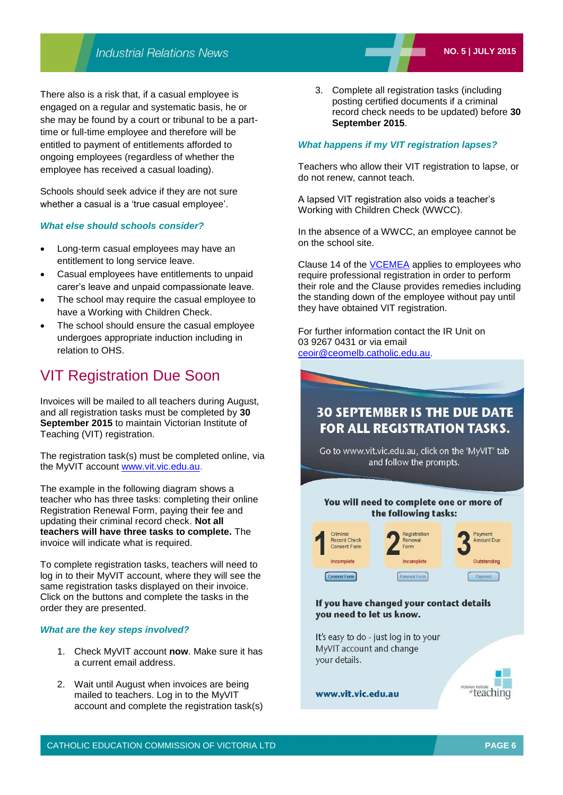There also is a risk that, if a casual employee is engaged on a regular and systematic basis, he or she may be found by a court or tribunal to be a parttime or full-time employee and therefore will be entitled to payment of entitlements afforded to ongoing employees (regardless of whether the employee has received a casual loading).

Schools should seek advice if they are not sure whether a casual is a 'true casual employee'.

### *What else should schools consider?*

- Long-term casual employees may have an entitlement to long service leave.
- Casual employees have entitlements to unpaid carer's leave and unpaid compassionate leave.
- The school may require the casual employee to have a Working with Children Check.
- The school should ensure the casual employee undergoes appropriate induction including in relation to OHS.

### VIT Registration Due Soon

Invoices will be mailed to all teachers during August, and all registration tasks must be completed by **30 September 2015** to maintain Victorian Institute of Teaching (VIT) registration.

The registration task(s) must be completed online, via the MyVIT account [www.vit.vic.edu.au.](http://www.vit.vic.edu.au/)

The example in the following diagram shows a teacher who has three tasks: completing their online Registration Renewal Form, paying their fee and updating their criminal record check. **Not all teachers will have three tasks to complete.** The invoice will indicate what is required.

To complete registration tasks, teachers will need to log in to their MyVIT account, where they will see the same registration tasks displayed on their invoice. Click on the buttons and complete the tasks in the order they are presented.

#### *What are the key steps involved?*

- 1. Check MyVIT account **now**. Make sure it has a current email address.
- 2. Wait until August when invoices are being mailed to teachers. Log in to the MyVIT account and complete the registration task(s)

3. Complete all registration tasks (including posting certified documents if a criminal record check needs to be updated) before **30 September 2015**.

### *What happens if my VIT registration lapses?*

Teachers who allow their VIT registration to lapse, or do not renew, cannot teach.

A lapsed VIT registration also voids a teacher's Working with Children Check (WWCC).

In the absence of a WWCC, an employee cannot be on the school site.

Clause 14 of the [VCEMEA](http://www.cecv.catholic.edu.au/vcsa/Agreement_2013/VCEMEA_2013.pdf) applies to employees who require professional registration in order to perform their role and the Clause provides remedies including the standing down of the employee without pay until they have obtained VIT registration.

For further information contact the IR Unit on 03 9267 0431 or via email [ceoir@ceomelb.catholic.edu.au.](mailto:ceoir@ceomelb.catholic.edu.au)

### **30 SEPTEMBER IS THE DUE DATE FOR ALL REGISTRATION TASKS.**

Go to www.vit.vic.edu.au, click on the 'MyVIT' tab and follow the prompts.

### You will need to complete one or more of the following tasks:



### If you have changed your contact details you need to let us know.

It's easy to do - just log in to your MyVIT account and change vour details.



www.vit.vic.edu.au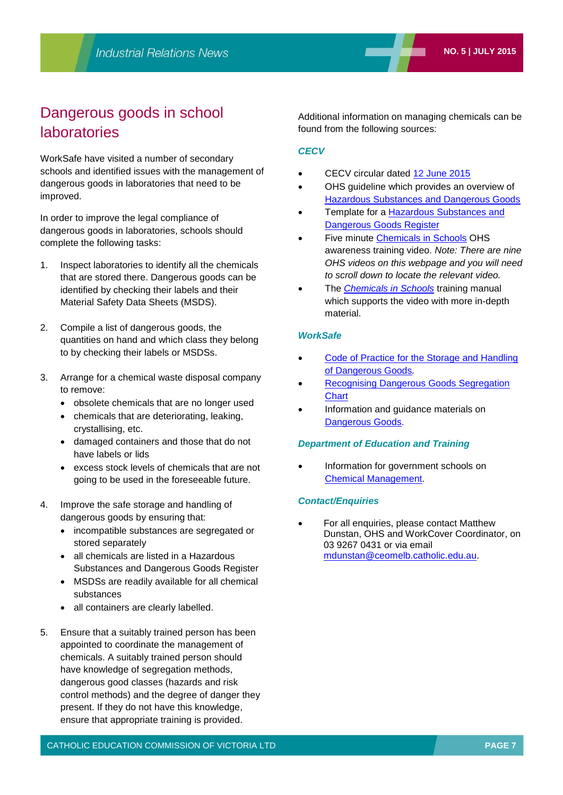# Dangerous goods in school laboratories

WorkSafe have visited a number of secondary schools and identified issues with the management of dangerous goods in laboratories that need to be improved.

In order to improve the legal compliance of dangerous goods in laboratories, schools should complete the following tasks:

- 1. Inspect laboratories to identify all the chemicals that are stored there. Dangerous goods can be identified by checking their labels and their Material Safety Data Sheets (MSDS).
- 2. Compile a list of dangerous goods, the quantities on hand and which class they belong to by checking their labels or MSDSs.
- 3. Arrange for a chemical waste disposal company to remove:
	- obsolete chemicals that are no longer used
	- chemicals that are deteriorating, leaking, crystallising, etc.
	- damaged containers and those that do not have labels or lids
	- excess stock levels of chemicals that are not going to be used in the foreseeable future.
- 4. Improve the safe storage and handling of dangerous goods by ensuring that:
	- incompatible substances are segregated or stored separately
	- all chemicals are listed in a Hazardous Substances and Dangerous Goods Register
	- MSDSs are readily available for all chemical substances
	- all containers are clearly labelled.
- 5. Ensure that a suitably trained person has been appointed to coordinate the management of chemicals. A suitably trained person should have knowledge of segregation methods, dangerous good classes (hazards and risk control methods) and the degree of danger they present. If they do not have this knowledge, ensure that appropriate training is provided.

Additional information on managing chemicals can be found from the following sources:

### *CECV*

- CECV circular dated [12 June 2015](http://www.cecv.catholic.edu.au/vcsa/communications/CECV_Dangerous_Goods_in_Science_Laboratories.pdf)
- OHS guideline which provides an overview of [Hazardous Substances and Dangerous Goods](http://www.cecv.catholic.edu.au/vcsa/ohands/guidelines/hazardous_substances_and_dangerous_goods.html)
- Template for a [Hazardous Substances and](http://www.cecv.catholic.edu.au/vcsa/ohands/guidelines/checklists/hazardous_substances_dangerous_goods_register.doc)  [Dangerous Goods Register](http://www.cecv.catholic.edu.au/vcsa/ohands/guidelines/checklists/hazardous_substances_dangerous_goods_register.doc)
- Five minute [Chemicals in Schools](http://www.cecv.catholic.edu.au/vcsa/ohands/ohs_in_schools.html) OHS awareness training video. *Note: There are nine OHS videos on this webpage and you will need to scroll down to locate the relevant video.*
- The *[Chemicals in Schools](http://www.cecv.catholic.edu.au/vcsa/ohands/documents/Chemicals_in_Schools.pdf)* training manual which supports the video with more in-depth material.

### *WorkSafe*

- [Code of Practice for the Storage and Handling](http://www.worksafe.vic.gov.au/__data/assets/pdf_file/0005/118436/Code-of-Practice-for-the-Storage-and-Handling-of-Dangerous-Goods.pdf)  [of Dangerous Goods](http://www.worksafe.vic.gov.au/__data/assets/pdf_file/0005/118436/Code-of-Practice-for-the-Storage-and-Handling-of-Dangerous-Goods.pdf)*.*
- [Recognising Dangerous Goods Segregation](http://www.worksafe.vic.gov.au/__data/assets/pdf_file/0018/14328/A3Poster2.pdf)  **[Chart](http://www.worksafe.vic.gov.au/__data/assets/pdf_file/0018/14328/A3Poster2.pdf)**
- Information and guidance materials on [Dangerous Goods.](http://www.worksafe.vic.gov.au/safety-and-prevention/health-and-safety-topics/dangerous-goods)

### *Department of Education and Training*

 Information for government schools on [Chemical Management.](http://www.education.vic.gov.au/school/principals/management/Pages/chemicalmgt.aspx)

### *Contact/Enquiries*

 For all enquiries, please contact Matthew Dunstan, OHS and WorkCover Coordinator, on 03 9267 0431 or via email [mdunstan@ceomelb.catholic.edu.au.](mailto:mdunstan@ceomelb.catholic.edu.au)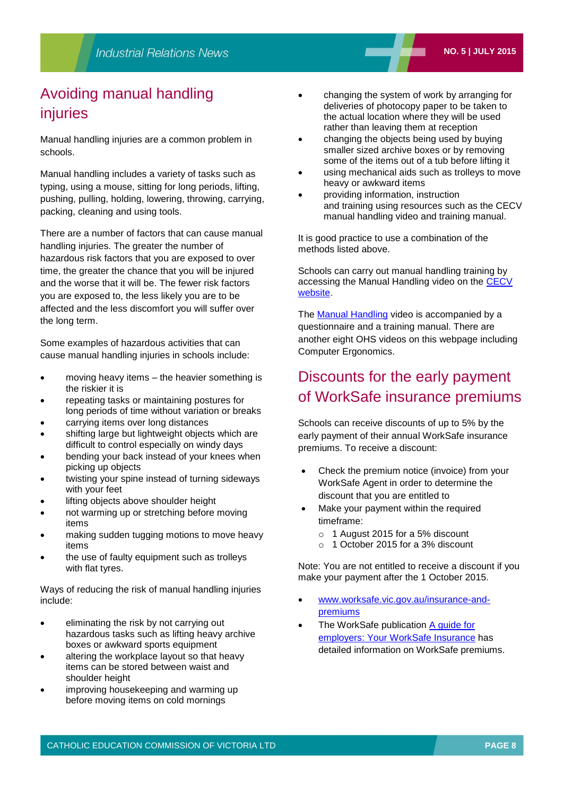# Avoiding manual handling injuries

Manual handling injuries are a common problem in schools.

Manual handling includes a variety of tasks such as typing, using a mouse, sitting for long periods, lifting, pushing, pulling, holding, lowering, throwing, carrying, packing, cleaning and using tools.

There are a number of factors that can cause manual handling injuries. The greater the number of hazardous risk factors that you are exposed to over time, the greater the chance that you will be injured and the worse that it will be. The fewer risk factors you are exposed to, the less likely you are to be affected and the less discomfort you will suffer over the long term.

Some examples of hazardous activities that can cause manual handling injuries in schools include:

- moving heavy items the heavier something is the riskier it is
- repeating tasks or maintaining postures for long periods of time without variation or breaks
- carrying items over long distances
- shifting large but lightweight objects which are difficult to control especially on windy days
- bending your back instead of your knees when picking up objects
- twisting your spine instead of turning sideways with your feet
- lifting objects above shoulder height
- not warming up or stretching before moving items
- making sudden tugging motions to move heavy items
- the use of faulty equipment such as trolleys with flat tyres.

Ways of reducing the risk of manual handling injuries include:

- eliminating the risk by not carrying out hazardous tasks such as lifting heavy archive boxes or awkward sports equipment
- altering the workplace layout so that heavy items can be stored between waist and shoulder height
- improving housekeeping and warming up before moving items on cold mornings
- changing the system of work by arranging for deliveries of photocopy paper to be taken to the actual location where they will be used rather than leaving them at reception
- changing the objects being used by buying smaller sized archive boxes or by removing some of the items out of a tub before lifting it
- using mechanical aids such as trolleys to move heavy or awkward items
- providing information, instruction and training using resources such as the CECV manual handling video and training manual.

It is good practice to use a combination of the methods listed above.

Schools can carry out manual handling training by accessing the Manual Handling video on the CECV website.

The **Manual Handling** video is accompanied by a questionnaire and a training manual. There are another eight OHS videos on this webpage including Computer Ergonomics.

# Discounts for the early payment of WorkSafe insurance premiums

Schools can receive discounts of up to 5% by the early payment of their annual WorkSafe insurance premiums. To receive a discount:

- Check the premium notice (invoice) from your WorkSafe Agent in order to determine the discount that you are entitled to
- Make your payment within the required timeframe:
	- o 1 August 2015 for a 5% discount
	- o 1 October 2015 for a 3% discount

Note: You are not entitled to receive a discount if you make your payment after the 1 October 2015.

- [www.worksafe.vic.gov.au/insurance-and](http://www.worksafe.vic.gov.au/insurance-and-premiums)[premiums](http://www.worksafe.vic.gov.au/insurance-and-premiums)
- The WorkSafe publication [A guide for](http://www.worksafe.vic.gov.au/__data/assets/pdf_file/0004/164632/INSURANCE-BOOKLET-2015-16.pdf)  [employers: Your WorkSafe Insurance](http://www.worksafe.vic.gov.au/__data/assets/pdf_file/0004/164632/INSURANCE-BOOKLET-2015-16.pdf) has detailed information on WorkSafe premiums.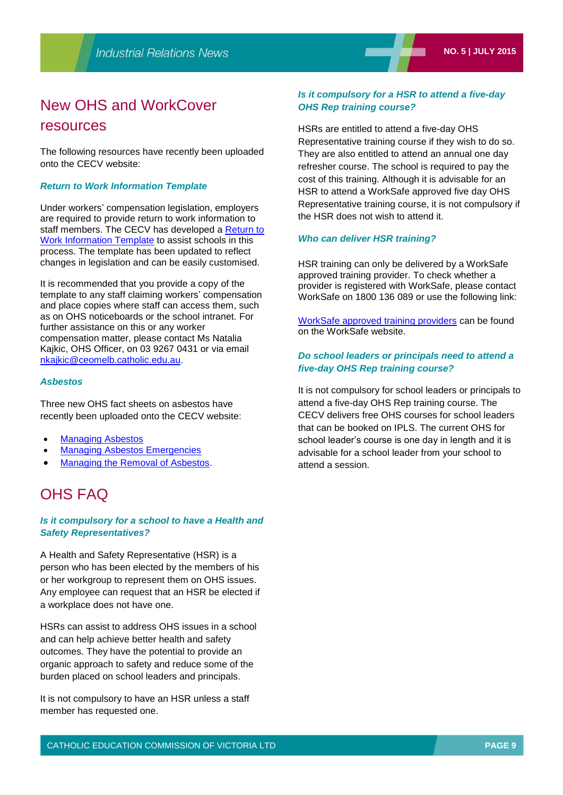# New OHS and WorkCover

### resources

The following resources have recently been uploaded onto the CECV website:

### *Return to Work Information Template*

Under workers' compensation legislation, employers are required to provide return to work information to staff members. The CECV has developed a [Return to](http://www.cecv.catholic.edu.au/vcsa/ohands/Templates/Return_to_Work_Information_template.doc)  [Work Information Template](http://www.cecv.catholic.edu.au/vcsa/ohands/Templates/Return_to_Work_Information_template.doc) to assist schools in this process. The template has been updated to reflect changes in legislation and can be easily customised.

It is recommended that you provide a copy of the template to any staff claiming workers' compensation and place copies where staff can access them, such as on OHS noticeboards or the school intranet. For further assistance on this or any worker compensation matter, please contact Ms Natalia Kajkic, OHS Officer, on 03 9267 0431 or via email [nkajkic@ceomelb.catholic.edu.au.](mailto:dvictor@ceomelb.catholic.edu.au)

### *Asbestos*

Three new OHS fact sheets on asbestos have recently been uploaded onto the CECV website:

- [Managing Asbestos](http://www.cecv.catholic.edu.au/vcsa/ohands/guidelines/asbestos.html)
- [Managing Asbestos Emergencies](http://www.cecv.catholic.edu.au/vcsa/ohands/guidelines/checklists/asbestos_emergencies.doc)
- [Managing the Removal of Asbestos.](http://www.cecv.catholic.edu.au/vcsa/ohands/guidelines/checklists/removal_of_asbestos.doc)

## OHS FAQ

### *Is it compulsory for a school to have a Health and Safety Representatives?*

A Health and Safety Representative (HSR) is a person who has been elected by the members of his or her workgroup to represent them on OHS issues. Any employee can request that an HSR be elected if a workplace does not have one.

HSRs can assist to address OHS issues in a school and can help achieve better health and safety outcomes. They have the potential to provide an organic approach to safety and reduce some of the burden placed on school leaders and principals.

It is not compulsory to have an HSR unless a staff member has requested one.

### *Is it compulsory for a HSR to attend a five-day OHS Rep training course?*

HSRs are entitled to attend a five-day OHS Representative training course if they wish to do so. They are also entitled to attend an annual one day refresher course. The school is required to pay the cost of this training. Although it is advisable for an HSR to attend a WorkSafe approved five day OHS Representative training course, it is not compulsory if the HSR does not wish to attend it.

### *Who can deliver HSR training?*

HSR training can only be delivered by a WorkSafe approved training provider. To check whether a provider is registered with WorkSafe, please contact WorkSafe on 1800 136 089 or use the following link:

[WorkSafe approved training providers](http://www1.worksafe.vic.gov.au/vwa/serviceproviderdirec.nsf/category?openForm&List=Occupational+Health+&+Safety+Training+-+Approved+Providers&ListType=Sub) can be found on the WorkSafe website.

### *Do school leaders or principals need to attend a five-day OHS Rep training course?*

It is not compulsory for school leaders or principals to attend a five-day OHS Rep training course. The CECV delivers free OHS courses for school leaders that can be booked on IPLS. The current OHS for school leader's course is one day in length and it is advisable for a school leader from your school to attend a session.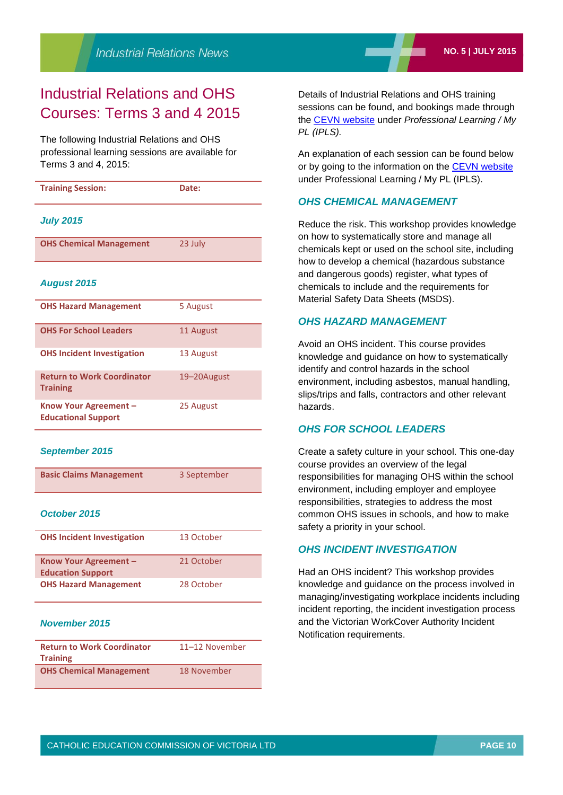# Industrial Relations and OHS Courses: Terms 3 and 4 2015

The following Industrial Relations and OHS professional learning sessions are available for Terms 3 and 4, 2015:

| <b>Training Session:</b>                             | Date:       |
|------------------------------------------------------|-------------|
| <b>July 2015</b>                                     |             |
| <b>OHS Chemical Management</b>                       | 23 July     |
| <b>August 2015</b>                                   |             |
| <b>OHS Hazard Management</b>                         | 5 August    |
| <b>OHS For School Leaders</b>                        | 11 August   |
| <b>OHS Incident Investigation</b>                    | 13 August   |
| <b>Return to Work Coordinator</b><br><b>Training</b> | 19-20August |
| Know Your Agreement -                                | 25 August   |

#### *September 2015*

**Educational Support**

| <b>Basic Claims Management</b> | 3 September |
|--------------------------------|-------------|
|                                |             |

### *October 2015*

| <b>OHS Incident Investigation</b>                 | 13 October |
|---------------------------------------------------|------------|
| Know Your Agreement -<br><b>Education Support</b> | 21 October |
| <b>OHS Hazard Management</b>                      | 28 October |

### *November 2015*

| <b>Return to Work Coordinator</b><br><b>Training</b> | 11-12 November |
|------------------------------------------------------|----------------|
| <b>OHS Chemical Management</b>                       | 18 November    |

Details of Industrial Relations and OHS training sessions can be found, and bookings made through the [CEVN website](http://www.cecv.catholic.edu.au/) under *Professional Learning / My PL (IPLS).*

An explanation of each session can be found below or by going to the information on the [CEVN website](http://www.cecv.catholic.edu.au/) under Professional Learning / My PL (IPLS).

### *OHS CHEMICAL MANAGEMENT*

Reduce the risk. This workshop provides knowledge on how to systematically store and manage all chemicals kept or used on the school site, including how to develop a chemical (hazardous substance and dangerous goods) register, what types of chemicals to include and the requirements for Material Safety Data Sheets (MSDS).

### *OHS HAZARD MANAGEMENT*

Avoid an OHS incident. This course provides knowledge and guidance on how to systematically identify and control hazards in the school environment, including asbestos, manual handling, slips/trips and falls, contractors and other relevant hazards.

### *OHS FOR SCHOOL LEADERS*

Create a safety culture in your school. This one-day course provides an overview of the legal responsibilities for managing OHS within the school environment, including employer and employee responsibilities, strategies to address the most common OHS issues in schools, and how to make safety a priority in your school.

### *OHS INCIDENT INVESTIGATION*

Had an OHS incident? This workshop provides knowledge and guidance on the process involved in managing/investigating workplace incidents including incident reporting, the incident investigation process and the Victorian WorkCover Authority Incident Notification requirements.